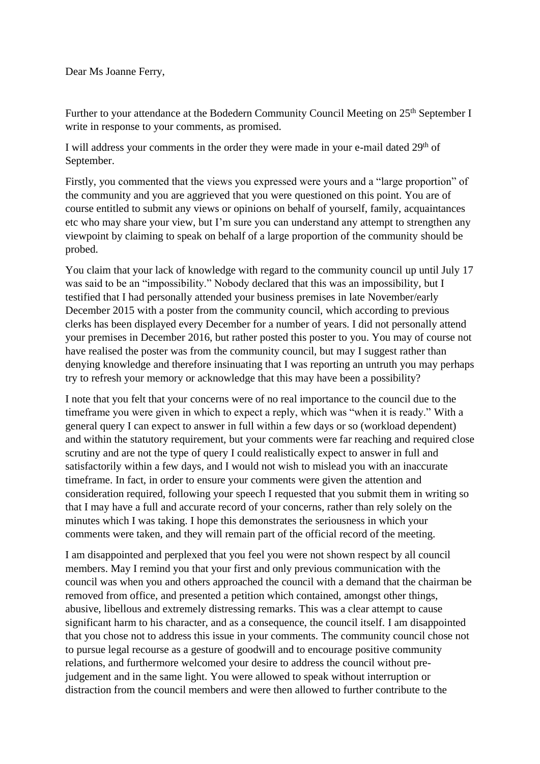Further to your attendance at the Bodedern Community Council Meeting on 25<sup>th</sup> September I write in response to your comments, as promised.

I will address your comments in the order they were made in your e-mail dated 29<sup>th</sup> of September.

Firstly, you commented that the views you expressed were yours and a "large proportion" of the community and you are aggrieved that you were questioned on this point. You are of course entitled to submit any views or opinions on behalf of yourself, family, acquaintances etc who may share your view, but I'm sure you can understand any attempt to strengthen any viewpoint by claiming to speak on behalf of a large proportion of the community should be probed.

You claim that your lack of knowledge with regard to the community council up until July 17 was said to be an "impossibility." Nobody declared that this was an impossibility, but I testified that I had personally attended your business premises in late November/early December 2015 with a poster from the community council, which according to previous clerks has been displayed every December for a number of years. I did not personally attend your premises in December 2016, but rather posted this poster to you. You may of course not have realised the poster was from the community council, but may I suggest rather than denying knowledge and therefore insinuating that I was reporting an untruth you may perhaps try to refresh your memory or acknowledge that this may have been a possibility?

I note that you felt that your concerns were of no real importance to the council due to the timeframe you were given in which to expect a reply, which was "when it is ready." With a general query I can expect to answer in full within a few days or so (workload dependent) and within the statutory requirement, but your comments were far reaching and required close scrutiny and are not the type of query I could realistically expect to answer in full and satisfactorily within a few days, and I would not wish to mislead you with an inaccurate timeframe. In fact, in order to ensure your comments were given the attention and consideration required, following your speech I requested that you submit them in writing so that I may have a full and accurate record of your concerns, rather than rely solely on the minutes which I was taking. I hope this demonstrates the seriousness in which your comments were taken, and they will remain part of the official record of the meeting.

I am disappointed and perplexed that you feel you were not shown respect by all council members. May I remind you that your first and only previous communication with the council was when you and others approached the council with a demand that the chairman be removed from office, and presented a petition which contained, amongst other things, abusive, libellous and extremely distressing remarks. This was a clear attempt to cause significant harm to his character, and as a consequence, the council itself. I am disappointed that you chose not to address this issue in your comments. The community council chose not to pursue legal recourse as a gesture of goodwill and to encourage positive community relations, and furthermore welcomed your desire to address the council without prejudgement and in the same light. You were allowed to speak without interruption or distraction from the council members and were then allowed to further contribute to the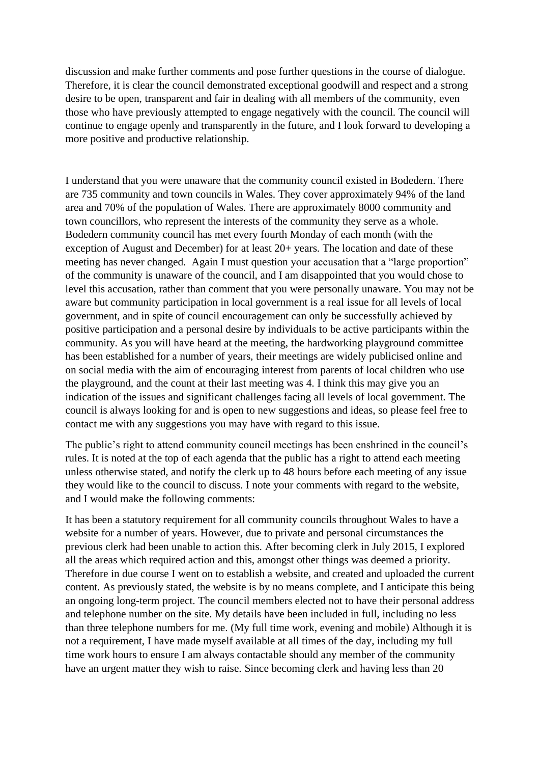discussion and make further comments and pose further questions in the course of dialogue. Therefore, it is clear the council demonstrated exceptional goodwill and respect and a strong desire to be open, transparent and fair in dealing with all members of the community, even those who have previously attempted to engage negatively with the council. The council will continue to engage openly and transparently in the future, and I look forward to developing a more positive and productive relationship.

I understand that you were unaware that the community council existed in Bodedern. There are 735 community and town councils in Wales. They cover approximately 94% of the land area and 70% of the population of Wales. There are approximately 8000 community and town councillors, who represent the interests of the community they serve as a whole. Bodedern community council has met every fourth Monday of each month (with the exception of August and December) for at least 20+ years. The location and date of these meeting has never changed. Again I must question your accusation that a "large proportion" of the community is unaware of the council, and I am disappointed that you would chose to level this accusation, rather than comment that you were personally unaware. You may not be aware but community participation in local government is a real issue for all levels of local government, and in spite of council encouragement can only be successfully achieved by positive participation and a personal desire by individuals to be active participants within the community. As you will have heard at the meeting, the hardworking playground committee has been established for a number of years, their meetings are widely publicised online and on social media with the aim of encouraging interest from parents of local children who use the playground, and the count at their last meeting was 4. I think this may give you an indication of the issues and significant challenges facing all levels of local government. The council is always looking for and is open to new suggestions and ideas, so please feel free to contact me with any suggestions you may have with regard to this issue.

The public's right to attend community council meetings has been enshrined in the council's rules. It is noted at the top of each agenda that the public has a right to attend each meeting unless otherwise stated, and notify the clerk up to 48 hours before each meeting of any issue they would like to the council to discuss. I note your comments with regard to the website, and I would make the following comments:

It has been a statutory requirement for all community councils throughout Wales to have a website for a number of years. However, due to private and personal circumstances the previous clerk had been unable to action this. After becoming clerk in July 2015, I explored all the areas which required action and this, amongst other things was deemed a priority. Therefore in due course I went on to establish a website, and created and uploaded the current content. As previously stated, the website is by no means complete, and I anticipate this being an ongoing long-term project. The council members elected not to have their personal address and telephone number on the site. My details have been included in full, including no less than three telephone numbers for me. (My full time work, evening and mobile) Although it is not a requirement, I have made myself available at all times of the day, including my full time work hours to ensure I am always contactable should any member of the community have an urgent matter they wish to raise. Since becoming clerk and having less than 20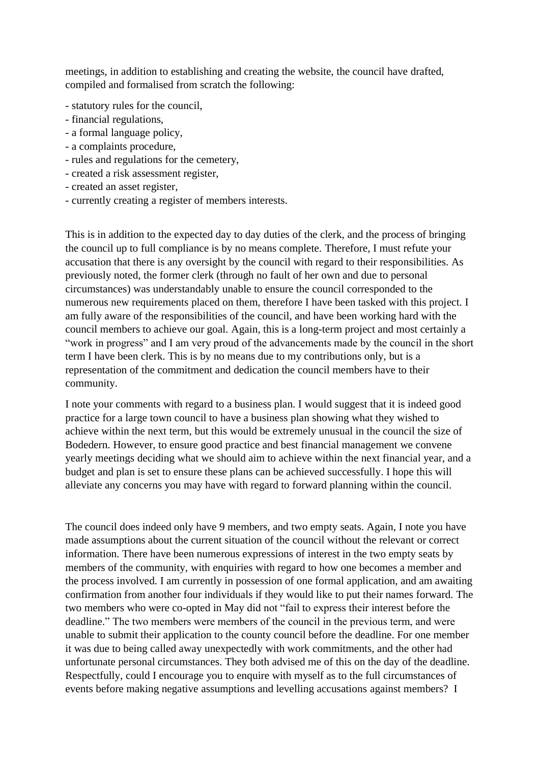meetings, in addition to establishing and creating the website, the council have drafted, compiled and formalised from scratch the following:

- statutory rules for the council,
- financial regulations,
- a formal language policy,
- a complaints procedure,
- rules and regulations for the cemetery,
- created a risk assessment register,
- created an asset register,
- currently creating a register of members interests.

This is in addition to the expected day to day duties of the clerk, and the process of bringing the council up to full compliance is by no means complete. Therefore, I must refute your accusation that there is any oversight by the council with regard to their responsibilities. As previously noted, the former clerk (through no fault of her own and due to personal circumstances) was understandably unable to ensure the council corresponded to the numerous new requirements placed on them, therefore I have been tasked with this project. I am fully aware of the responsibilities of the council, and have been working hard with the council members to achieve our goal. Again, this is a long-term project and most certainly a "work in progress" and I am very proud of the advancements made by the council in the short term I have been clerk. This is by no means due to my contributions only, but is a representation of the commitment and dedication the council members have to their community.

I note your comments with regard to a business plan. I would suggest that it is indeed good practice for a large town council to have a business plan showing what they wished to achieve within the next term, but this would be extremely unusual in the council the size of Bodedern. However, to ensure good practice and best financial management we convene yearly meetings deciding what we should aim to achieve within the next financial year, and a budget and plan is set to ensure these plans can be achieved successfully. I hope this will alleviate any concerns you may have with regard to forward planning within the council.

The council does indeed only have 9 members, and two empty seats. Again, I note you have made assumptions about the current situation of the council without the relevant or correct information. There have been numerous expressions of interest in the two empty seats by members of the community, with enquiries with regard to how one becomes a member and the process involved. I am currently in possession of one formal application, and am awaiting confirmation from another four individuals if they would like to put their names forward. The two members who were co-opted in May did not "fail to express their interest before the deadline." The two members were members of the council in the previous term, and were unable to submit their application to the county council before the deadline. For one member it was due to being called away unexpectedly with work commitments, and the other had unfortunate personal circumstances. They both advised me of this on the day of the deadline. Respectfully, could I encourage you to enquire with myself as to the full circumstances of events before making negative assumptions and levelling accusations against members? I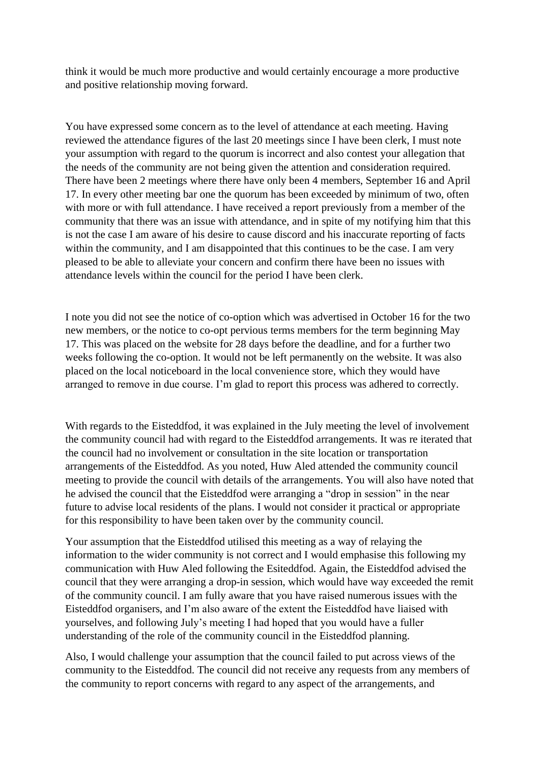think it would be much more productive and would certainly encourage a more productive and positive relationship moving forward.

You have expressed some concern as to the level of attendance at each meeting. Having reviewed the attendance figures of the last 20 meetings since I have been clerk, I must note your assumption with regard to the quorum is incorrect and also contest your allegation that the needs of the community are not being given the attention and consideration required. There have been 2 meetings where there have only been 4 members, September 16 and April 17. In every other meeting bar one the quorum has been exceeded by minimum of two, often with more or with full attendance. I have received a report previously from a member of the community that there was an issue with attendance, and in spite of my notifying him that this is not the case I am aware of his desire to cause discord and his inaccurate reporting of facts within the community, and I am disappointed that this continues to be the case. I am very pleased to be able to alleviate your concern and confirm there have been no issues with attendance levels within the council for the period I have been clerk.

I note you did not see the notice of co-option which was advertised in October 16 for the two new members, or the notice to co-opt pervious terms members for the term beginning May 17. This was placed on the website for 28 days before the deadline, and for a further two weeks following the co-option. It would not be left permanently on the website. It was also placed on the local noticeboard in the local convenience store, which they would have arranged to remove in due course. I'm glad to report this process was adhered to correctly.

With regards to the Eisteddfod, it was explained in the July meeting the level of involvement the community council had with regard to the Eisteddfod arrangements. It was re iterated that the council had no involvement or consultation in the site location or transportation arrangements of the Eisteddfod. As you noted, Huw Aled attended the community council meeting to provide the council with details of the arrangements. You will also have noted that he advised the council that the Eisteddfod were arranging a "drop in session" in the near future to advise local residents of the plans. I would not consider it practical or appropriate for this responsibility to have been taken over by the community council.

Your assumption that the Eisteddfod utilised this meeting as a way of relaying the information to the wider community is not correct and I would emphasise this following my communication with Huw Aled following the Esiteddfod. Again, the Eisteddfod advised the council that they were arranging a drop-in session, which would have way exceeded the remit of the community council. I am fully aware that you have raised numerous issues with the Eisteddfod organisers, and I'm also aware of the extent the Eisteddfod have liaised with yourselves, and following July's meeting I had hoped that you would have a fuller understanding of the role of the community council in the Eisteddfod planning.

Also, I would challenge your assumption that the council failed to put across views of the community to the Eisteddfod. The council did not receive any requests from any members of the community to report concerns with regard to any aspect of the arrangements, and